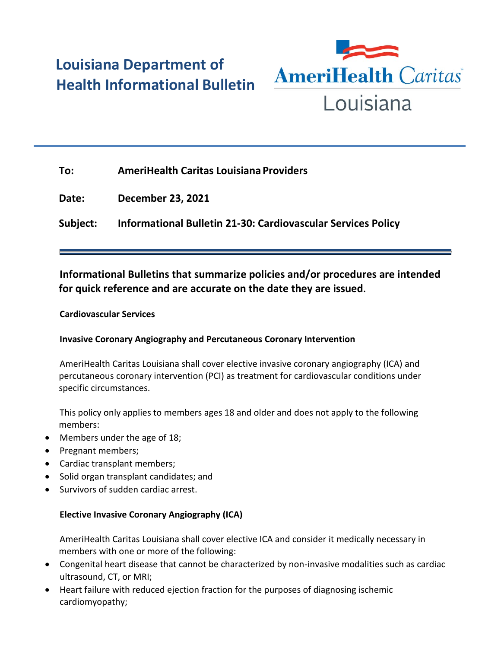# **Louisiana Department of Health Informational Bulletin**



| To:      | <b>AmeriHealth Caritas Louisiana Providers</b>               |
|----------|--------------------------------------------------------------|
| Date:    | December 23, 2021                                            |
| Subject: | Informational Bulletin 21-30: Cardiovascular Services Policy |

# **Informational Bulletins that summarize policies and/or procedures are intended for quick reference and are accurate on the date they are issued.**

#### **Cardiovascular Services**

## **Invasive Coronary Angiography and Percutaneous Coronary Intervention**

AmeriHealth Caritas Louisiana shall cover elective invasive coronary angiography (ICA) and percutaneous coronary intervention (PCI) as treatment for cardiovascular conditions under specific circumstances.

This policy only applies to members ages 18 and older and does not apply to the following members:

- Members under the age of 18;
- Pregnant members;
- Cardiac transplant members;
- Solid organ transplant candidates; and
- Survivors of sudden cardiac arrest.

#### **Elective Invasive Coronary Angiography (ICA)**

AmeriHealth Caritas Louisiana shall cover elective ICA and consider it medically necessary in members with one or more of the following:

- Congenital heart disease that cannot be characterized by non-invasive modalities such as cardiac ultrasound, CT, or MRI;
- Heart failure with reduced ejection fraction for the purposes of diagnosing ischemic cardiomyopathy;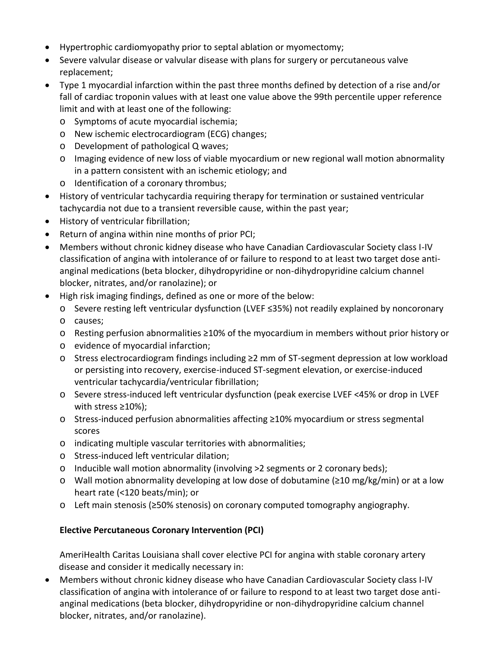- Hypertrophic cardiomyopathy prior to septal ablation or myomectomy;
- Severe valvular disease or valvular disease with plans for surgery or percutaneous valve replacement;
- Type 1 myocardial infarction within the past three months defined by detection of a rise and/or fall of cardiac troponin values with at least one value above the 99th percentile upper reference limit and with at least one of the following:
	- o Symptoms of acute myocardial ischemia;
	- o New ischemic electrocardiogram (ECG) changes;
	- o Development of pathological Q waves;
	- o Imaging evidence of new loss of viable myocardium or new regional wall motion abnormality in a pattern consistent with an ischemic etiology; and
	- o Identification of a coronary thrombus;
- History of ventricular tachycardia requiring therapy for termination or sustained ventricular tachycardia not due to a transient reversible cause, within the past year;
- History of ventricular fibrillation;
- Return of angina within nine months of prior PCI;
- Members without chronic kidney disease who have Canadian Cardiovascular Society class I-IV classification of angina with intolerance of or failure to respond to at least two target dose antianginal medications (beta blocker, dihydropyridine or non-dihydropyridine calcium channel blocker, nitrates, and/or ranolazine); or
- High risk imaging findings, defined as one or more of the below:
	- o Severe resting left ventricular dysfunction (LVEF ≤35%) not readily explained by noncoronary
	- o causes;
	- o Resting perfusion abnormalities ≥10% of the myocardium in members without prior history or
	- o evidence of myocardial infarction;
	- o Stress electrocardiogram findings including ≥2 mm of ST-segment depression at low workload or persisting into recovery, exercise-induced ST-segment elevation, or exercise-induced ventricular tachycardia/ventricular fibrillation;
	- o Severe stress-induced left ventricular dysfunction (peak exercise LVEF <45% or drop in LVEF with stress ≥10%);
	- o Stress-induced perfusion abnormalities affecting ≥10% myocardium or stress segmental scores
	- o indicating multiple vascular territories with abnormalities;
	- o Stress-induced left ventricular dilation;
	- o Inducible wall motion abnormality (involving >2 segments or 2 coronary beds);
	- o Wall motion abnormality developing at low dose of dobutamine (≥10 mg/kg/min) or at a low heart rate (<120 beats/min); or
	- o Left main stenosis (≥50% stenosis) on coronary computed tomography angiography.

#### **Elective Percutaneous Coronary Intervention (PCI)**

AmeriHealth Caritas Louisiana shall cover elective PCI for angina with stable coronary artery disease and consider it medically necessary in:

 Members without chronic kidney disease who have Canadian Cardiovascular Society class I-IV classification of angina with intolerance of or failure to respond to at least two target dose antianginal medications (beta blocker, dihydropyridine or non-dihydropyridine calcium channel blocker, nitrates, and/or ranolazine).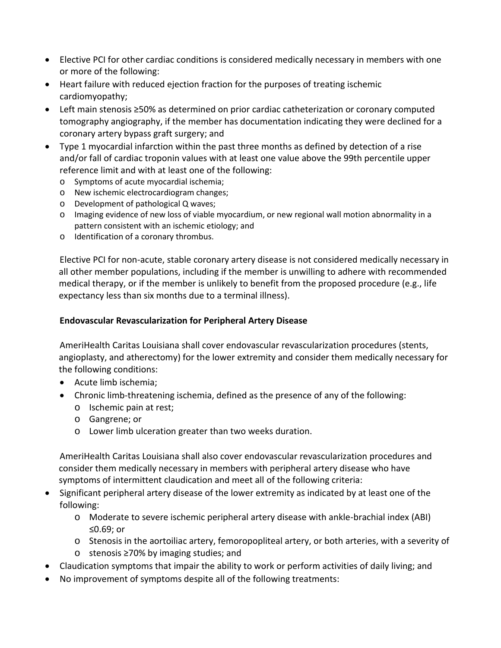- Elective PCI for other cardiac conditions is considered medically necessary in members with one or more of the following:
- Heart failure with reduced ejection fraction for the purposes of treating ischemic cardiomyopathy;
- Left main stenosis ≥50% as determined on prior cardiac catheterization or coronary computed tomography angiography, if the member has documentation indicating they were declined for a coronary artery bypass graft surgery; and
- Type 1 myocardial infarction within the past three months as defined by detection of a rise and/or fall of cardiac troponin values with at least one value above the 99th percentile upper reference limit and with at least one of the following:
	- o Symptoms of acute myocardial ischemia;
	- o New ischemic electrocardiogram changes;
	- o Development of pathological Q waves;
	- o Imaging evidence of new loss of viable myocardium, or new regional wall motion abnormality in a pattern consistent with an ischemic etiology; and
	- o Identification of a coronary thrombus.

Elective PCI for non-acute, stable coronary artery disease is not considered medically necessary in all other member populations, including if the member is unwilling to adhere with recommended medical therapy, or if the member is unlikely to benefit from the proposed procedure (e.g., life expectancy less than six months due to a terminal illness).

### **Endovascular Revascularization for Peripheral Artery Disease**

AmeriHealth Caritas Louisiana shall cover endovascular revascularization procedures (stents, angioplasty, and atherectomy) for the lower extremity and consider them medically necessary for the following conditions:

- Acute limb ischemia;
- Chronic limb-threatening ischemia, defined as the presence of any of the following:
	- o Ischemic pain at rest;
	- o Gangrene; or
	- o Lower limb ulceration greater than two weeks duration.

AmeriHealth Caritas Louisiana shall also cover endovascular revascularization procedures and consider them medically necessary in members with peripheral artery disease who have symptoms of intermittent claudication and meet all of the following criteria:

- Significant peripheral artery disease of the lower extremity as indicated by at least one of the following:
	- o Moderate to severe ischemic peripheral artery disease with ankle-brachial index (ABI) ≤0.69; or
	- o Stenosis in the aortoiliac artery, femoropopliteal artery, or both arteries, with a severity of
	- o stenosis ≥70% by imaging studies; and
- Claudication symptoms that impair the ability to work or perform activities of daily living; and
- No improvement of symptoms despite all of the following treatments: